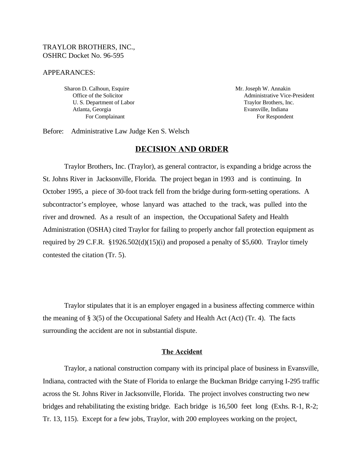### TRAYLOR BROTHERS, INC., OSHRC Docket No. 96-595

#### APPEARANCES:

Sharon D. Calhoun, Esquire Mr. Joseph W. Annakin U. S. Department of Labor Traylor Brothers, Inc. Atlanta, Georgia **Evansville, Indiana** Evansville, Indiana

Office of the Solicitor **Administrative Vice-President** For Complainant For Respondent

Before: Administrative Law Judge Ken S. Welsch

# **DECISION AND ORDER**

Traylor Brothers, Inc. (Traylor), as general contractor, is expanding a bridge across the St. Johns River in Jacksonville, Florida. The project began in 1993 and is continuing. In October 1995, a piece of 30-foot track fell from the bridge during form-setting operations. A subcontractor's employee, whose lanyard was attached to the track, was pulled into the river and drowned. As a result of an inspection, the Occupational Safety and Health Administration (OSHA) cited Traylor for failing to properly anchor fall protection equipment as required by 29 C.F.R. §1926.502(d)(15)(i) and proposed a penalty of \$5,600. Traylor timely contested the citation (Tr. 5).

Traylor stipulates that it is an employer engaged in a business affecting commerce within the meaning of § 3(5) of the Occupational Safety and Health Act (Act) (Tr. 4). The facts surrounding the accident are not in substantial dispute.

#### **The Accident**

Traylor, a national construction company with its principal place of business in Evansville, Indiana, contracted with the State of Florida to enlarge the Buckman Bridge carrying I-295 traffic across the St. Johns River in Jacksonville, Florida. The project involves constructing two new bridges and rehabilitating the existing bridge. Each bridge is 16,500 feet long (Exhs. R-1, R-2; Tr. 13, 115). Except for a few jobs, Traylor, with 200 employees working on the project,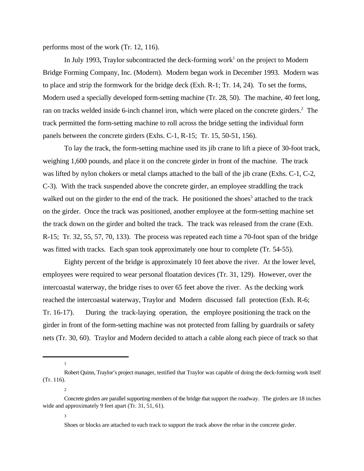performs most of the work (Tr. 12, 116).

In July 1993, Traylor subcontracted the deck-forming work<sup>1</sup> on the project to Modern Bridge Forming Company, Inc. (Modern). Modern began work in December 1993. Modern was to place and strip the formwork for the bridge deck (Exh. R-1; Tr. 14, 24). To set the forms, Modern used a specially developed form-setting machine (Tr. 28, 50). The machine, 40 feet long, ran on tracks welded inside 6-inch channel iron, which were placed on the concrete girders.<sup>2</sup> The track permitted the form-setting machine to roll across the bridge setting the individual form panels between the concrete girders (Exhs. C-1, R-15; Tr. 15, 50-51, 156).

To lay the track, the form-setting machine used its jib crane to lift a piece of 30-foot track, weighing 1,600 pounds, and place it on the concrete girder in front of the machine. The track was lifted by nylon chokers or metal clamps attached to the ball of the jib crane (Exhs. C-1, C-2, C-3). With the track suspended above the concrete girder, an employee straddling the track walked out on the girder to the end of the track. He positioned the shoes<sup>3</sup> attached to the track on the girder. Once the track was positioned, another employee at the form-setting machine set the track down on the girder and bolted the track. The track was released from the crane (Exh. R-15; Tr. 32, 55, 57, 70, 133). The process was repeated each time a 70-foot span of the bridge was fitted with tracks. Each span took approximately one hour to complete (Tr. 54-55).

Eighty percent of the bridge is approximately 10 feet above the river. At the lower level, employees were required to wear personal floatation devices (Tr. 31, 129). However, over the intercoastal waterway, the bridge rises to over 65 feet above the river. As the decking work reached the intercoastal waterway, Traylor and Modern discussed fall protection (Exh. R-6; Tr. 16-17). During the track-laying operation, the employee positioning the track on the girder in front of the form-setting machine was not protected from falling by guardrails or safety nets (Tr. 30, 60). Traylor and Modern decided to attach a cable along each piece of track so that

1

2

3

Robert Quinn, Traylor's project manager, testified that Traylor was capable of doing the deck-forming work itself (Tr. 116).

Concrete girders are parallel supporting members of the bridge that support the roadway. The girders are 18 inches wide and approximately 9 feet apart (Tr. 31, 51, 61).

Shoes or blocks are attached to each track to support the track above the rebar in the concrete girder.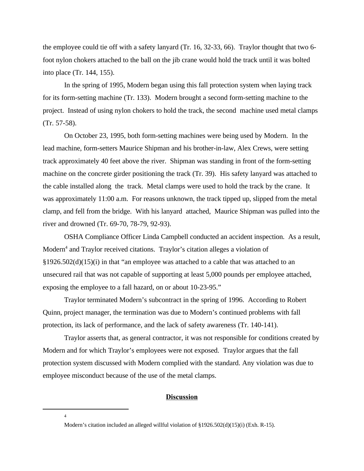the employee could tie off with a safety lanyard (Tr. 16, 32-33, 66). Traylor thought that two 6 foot nylon chokers attached to the ball on the jib crane would hold the track until it was bolted into place (Tr. 144, 155).

In the spring of 1995, Modern began using this fall protection system when laying track for its form-setting machine (Tr. 133). Modern brought a second form-setting machine to the project. Instead of using nylon chokers to hold the track, the second machine used metal clamps (Tr. 57-58).

On October 23, 1995, both form-setting machines were being used by Modern. In the lead machine, form-setters Maurice Shipman and his brother-in-law, Alex Crews, were setting track approximately 40 feet above the river. Shipman was standing in front of the form-setting machine on the concrete girder positioning the track (Tr. 39). His safety lanyard was attached to the cable installed along the track. Metal clamps were used to hold the track by the crane. It was approximately 11:00 a.m. For reasons unknown, the track tipped up, slipped from the metal clamp, and fell from the bridge. With his lanyard attached, Maurice Shipman was pulled into the river and drowned (Tr. 69-70, 78-79, 92-93).

OSHA Compliance Officer Linda Campbell conducted an accident inspection. As a result, Modern<sup>4</sup> and Traylor received citations. Traylor's citation alleges a violation of  $\S1926.502(d)(15)(i)$  in that "an employee was attached to a cable that was attached to an unsecured rail that was not capable of supporting at least 5,000 pounds per employee attached, exposing the employee to a fall hazard, on or about 10-23-95."

Traylor terminated Modern's subcontract in the spring of 1996. According to Robert Quinn, project manager, the termination was due to Modern's continued problems with fall protection, its lack of performance, and the lack of safety awareness (Tr. 140-141).

Traylor asserts that, as general contractor, it was not responsible for conditions created by Modern and for which Traylor's employees were not exposed. Traylor argues that the fall protection system discussed with Modern complied with the standard. Any violation was due to employee misconduct because of the use of the metal clamps.

### **Discussion**

<sup>4</sup>

Modern's citation included an alleged willful violation of §1926.502(d)(15)(i) (Exh. R-15).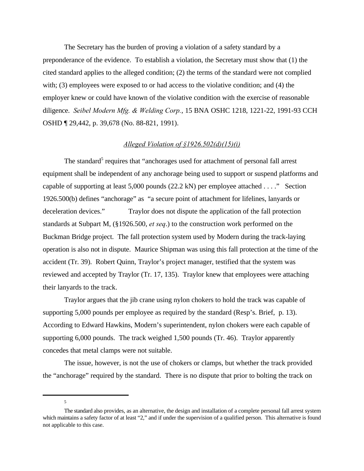The Secretary has the burden of proving a violation of a safety standard by a preponderance of the evidence. To establish a violation, the Secretary must show that (1) the cited standard applies to the alleged condition; (2) the terms of the standard were not complied with; (3) employees were exposed to or had access to the violative condition; and (4) the employer knew or could have known of the violative condition with the exercise of reasonable diligence. *Seibel Modern Mfg. & Welding Corp.*, 15 BNA OSHC 1218, 1221-22, 1991-93 CCH OSHD ¶ 29,442, p. 39,678 (No. 88-821, 1991).

## *Alleged Violation of §1926.502(d)(15)(i)*

The standard<sup>5</sup> requires that "anchorages used for attachment of personal fall arrest equipment shall be independent of any anchorage being used to support or suspend platforms and capable of supporting at least 5,000 pounds (22.2 kN) per employee attached . . . ." Section 1926.500(b) defines "anchorage" as "a secure point of attachment for lifelines, lanyards or deceleration devices." Traylor does not dispute the application of the fall protection standards at Subpart M, (§1926.500, *et seq*.) to the construction work performed on the Buckman Bridge project. The fall protection system used by Modern during the track-laying operation is also not in dispute. Maurice Shipman was using this fall protection at the time of the accident (Tr. 39). Robert Quinn, Traylor's project manager, testified that the system was reviewed and accepted by Traylor (Tr. 17, 135). Traylor knew that employees were attaching their lanyards to the track.

Traylor argues that the jib crane using nylon chokers to hold the track was capable of supporting 5,000 pounds per employee as required by the standard (Resp's. Brief, p. 13). According to Edward Hawkins, Modern's superintendent, nylon chokers were each capable of supporting 6,000 pounds. The track weighed 1,500 pounds (Tr. 46). Traylor apparently concedes that metal clamps were not suitable.

The issue, however, is not the use of chokers or clamps, but whether the track provided the "anchorage" required by the standard. There is no dispute that prior to bolting the track on

<sup>5</sup>

The standard also provides, as an alternative, the design and installation of a complete personal fall arrest system which maintains a safety factor of at least "2," and if under the supervision of a qualified person. This alternative is found not applicable to this case.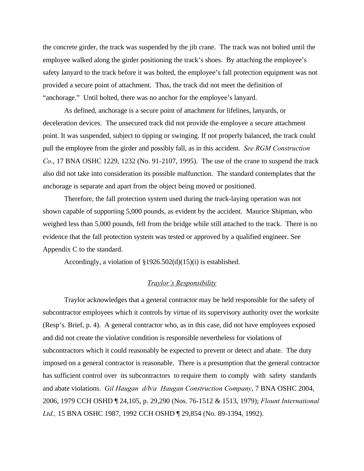the concrete girder, the track was suspended by the jib crane. The track was not bolted until the employee walked along the girder positioning the track's shoes. By attaching the employee's safety lanyard to the track before it was bolted, the employee's fall protection equipment was not provided a secure point of attachment. Thus, the track did not meet the definition of "anchorage." Until bolted, there was no anchor for the employee's lanyard.

 As defined, anchorage is a secure point of attachment for lifelines, lanyards, or deceleration devices. The unsecured track did not provide the employee a secure attachment point. It was suspended, subject to tipping or swinging. If not properly balanced, the track could pull the employee from the girder and possibly fall, as in this accident. *See RGM Construction Co*., 17 BNA OSHC 1229, 1232 (No. 91-2107, 1995). The use of the crane to suspend the track also did not take into consideration its possible malfunction. The standard contemplates that the anchorage is separate and apart from the object being moved or positioned.

Therefore, the fall protection system used during the track-laying operation was not shown capable of supporting 5,000 pounds, as evident by the accident. Maurice Shipman, who weighed less than 5,000 pounds, fell from the bridge while still attached to the track. There is no evidence that the fall protection system was tested or approved by a qualified engineer. See Appendix C to the standard.

Accordingly, a violation of §1926.502(d)(15)(i) is established.

### *Traylor's Responsibility*

Traylor acknowledges that a general contractor may be held responsible for the safety of subcontractor employees which it controls by virtue of its supervisory authority over the worksite (Resp's. Brief, p. 4). A general contractor who, as in this case, did not have employees exposed and did not create the violative condition is responsible nevertheless for violations of subcontractors which it could reasonably be expected to prevent or detect and abate. The duty imposed on a general contractor is reasonable. There is a presumption that the general contractor has sufficient control over its subcontractors to require them to comply with safety standards and abate violations. *Gil Haugan d/b/a Haugan Construction Company*, 7 BNA OSHC 2004, 2006, 1979 CCH OSHD ¶ 24,105, p. 29,290 (Nos. 76-1512 & 1513, 1979); *Flount International Ltd.,* 15 BNA OSHC 1987, 1992 CCH OSHD ¶ 29,854 (No. 89-1394, 1992).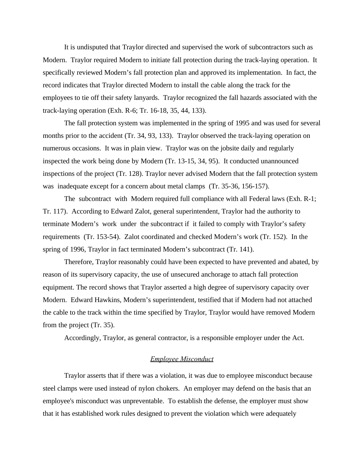It is undisputed that Traylor directed and supervised the work of subcontractors such as Modern. Traylor required Modern to initiate fall protection during the track-laying operation. It specifically reviewed Modern's fall protection plan and approved its implementation. In fact, the record indicates that Traylor directed Modern to install the cable along the track for the employees to tie off their safety lanyards. Traylor recognized the fall hazards associated with the track-laying operation (Exh. R-6; Tr. 16-18, 35, 44, 133).

The fall protection system was implemented in the spring of 1995 and was used for several months prior to the accident (Tr. 34, 93, 133). Traylor observed the track-laying operation on numerous occasions. It was in plain view. Traylor was on the jobsite daily and regularly inspected the work being done by Modern (Tr. 13-15, 34, 95). It conducted unannounced inspections of the project (Tr. 128). Traylor never advised Modern that the fall protection system was inadequate except for a concern about metal clamps (Tr. 35-36, 156-157).

The subcontract with Modern required full compliance with all Federal laws (Exh. R-1; Tr. 117). According to Edward Zalot, general superintendent, Traylor had the authority to terminate Modern's work under the subcontract if it failed to comply with Traylor's safety requirements (Tr. 153-54). Zalot coordinated and checked Modern's work (Tr. 152). In the spring of 1996, Traylor in fact terminated Modern's subcontract (Tr. 141).

Therefore, Traylor reasonably could have been expected to have prevented and abated, by reason of its supervisory capacity, the use of unsecured anchorage to attach fall protection equipment. The record shows that Traylor asserted a high degree of supervisory capacity over Modern. Edward Hawkins, Modern's superintendent, testified that if Modern had not attached the cable to the track within the time specified by Traylor, Traylor would have removed Modern from the project (Tr. 35).

Accordingly, Traylor, as general contractor, is a responsible employer under the Act.

### *Employee Misconduct*

Traylor asserts that if there was a violation, it was due to employee misconduct because steel clamps were used instead of nylon chokers. An employer may defend on the basis that an employee's misconduct was unpreventable. To establish the defense, the employer must show that it has established work rules designed to prevent the violation which were adequately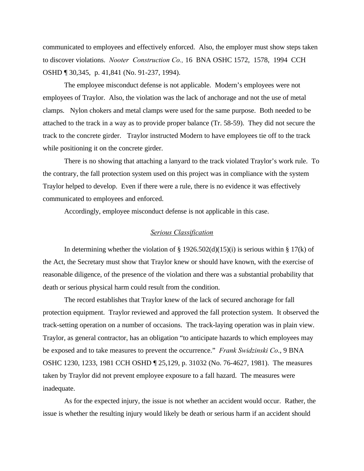communicated to employees and effectively enforced. Also, the employer must show steps taken to discover violations. *Nooter Construction Co.,* 16 BNA OSHC 1572, 1578, 1994 CCH OSHD ¶ 30,345, p. 41,841 (No. 91-237, 1994).

The employee misconduct defense is not applicable. Modern's employees were not employees of Traylor. Also, the violation was the lack of anchorage and not the use of metal clamps. Nylon chokers and metal clamps were used for the same purpose. Both needed to be attached to the track in a way as to provide proper balance (Tr. 58-59). They did not secure the track to the concrete girder. Traylor instructed Modern to have employees tie off to the track while positioning it on the concrete girder.

There is no showing that attaching a lanyard to the track violated Traylor's work rule. To the contrary, the fall protection system used on this project was in compliance with the system Traylor helped to develop. Even if there were a rule, there is no evidence it was effectively communicated to employees and enforced.

Accordingly, employee misconduct defense is not applicable in this case.

#### *Serious Classification*

In determining whether the violation of  $\S$  1926.502(d)(15)(i) is serious within  $\S$  17(k) of the Act, the Secretary must show that Traylor knew or should have known, with the exercise of reasonable diligence, of the presence of the violation and there was a substantial probability that death or serious physical harm could result from the condition.

The record establishes that Traylor knew of the lack of secured anchorage for fall protection equipment. Traylor reviewed and approved the fall protection system. It observed the track-setting operation on a number of occasions. The track-laying operation was in plain view. Traylor, as general contractor, has an obligation "to anticipate hazards to which employees may be exposed and to take measures to prevent the occurrence." *Frank Swidzinski Co*., 9 BNA OSHC 1230, 1233, 1981 CCH OSHD ¶ 25,129, p. 31032 (No. 76-4627, 1981). The measures taken by Traylor did not prevent employee exposure to a fall hazard. The measures were inadequate.

As for the expected injury, the issue is not whether an accident would occur. Rather, the issue is whether the resulting injury would likely be death or serious harm if an accident should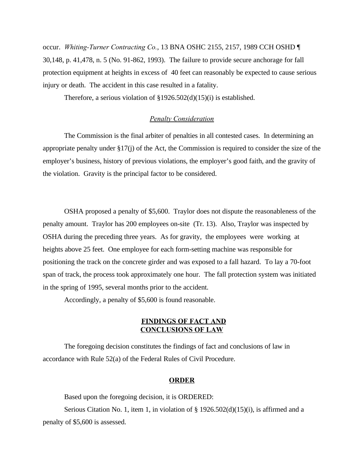occur. *Whiting-Turner Contracting Co.*, 13 BNA OSHC 2155, 2157, 1989 CCH OSHD ¶ 30,148, p. 41,478, n. 5 (No. 91-862, 1993). The failure to provide secure anchorage for fall protection equipment at heights in excess of 40 feet can reasonably be expected to cause serious injury or death. The accident in this case resulted in a fatality.

Therefore, a serious violation of §1926.502(d)(15)(i) is established.

# *Penalty Consideration*

The Commission is the final arbiter of penalties in all contested cases. In determining an appropriate penalty under §17(j) of the Act, the Commission is required to consider the size of the employer's business, history of previous violations, the employer's good faith, and the gravity of the violation. Gravity is the principal factor to be considered.

OSHA proposed a penalty of \$5,600. Traylor does not dispute the reasonableness of the penalty amount. Traylor has 200 employees on-site (Tr. 13). Also, Traylor was inspected by OSHA during the preceding three years. As for gravity, the employees were working at heights above 25 feet. One employee for each form-setting machine was responsible for positioning the track on the concrete girder and was exposed to a fall hazard. To lay a 70-foot span of track, the process took approximately one hour. The fall protection system was initiated in the spring of 1995, several months prior to the accident.

Accordingly, a penalty of \$5,600 is found reasonable.

## **FINDINGS OF FACT AND CONCLUSIONS OF LAW**

The foregoing decision constitutes the findings of fact and conclusions of law in accordance with Rule 52(a) of the Federal Rules of Civil Procedure.

### **ORDER**

Based upon the foregoing decision, it is ORDERED:

Serious Citation No. 1, item 1, in violation of  $\S$  1926.502(d)(15)(i), is affirmed and a penalty of \$5,600 is assessed.